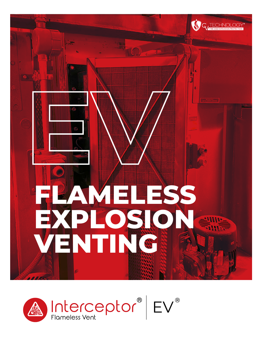

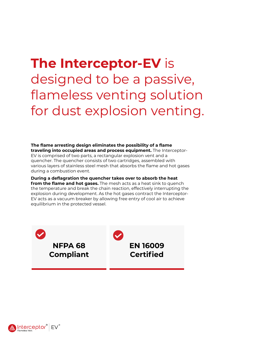# **The Interceptor-EV** is designed to be a passive, flameless venting solution for dust explosion venting.

**The flame arresting design eliminates the possibility of a flame traveling into occupied areas and process equipment.** The Interceptor-EV is comprised of two parts, a rectangular explosion vent and a quencher. The quencher consists of two cartridges, assembled with various layers of stainless steel mesh that absorbs the flame and hot gases during a combustion event.

**During a deflagration the quencher takes over to absorb the heat from the flame and hot gases.** The mesh acts as a heat sink to quench the temperature and break the chain reaction, effectively interrupting the explosion during development. As the hot gases contract the Interceptor-EV acts as a vacuum breaker by allowing free entry of cool air to achieve equilibrium in the protected vessel.



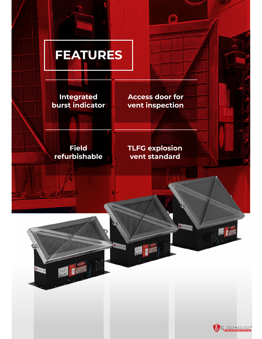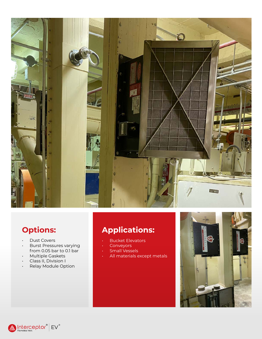

### **Options:**

- Dust Covers
- Burst Pressures varying from 0.05 bar to 0.1 bar
- Multiple Gaskets
- Class II, Division I
- Relay Module Option

#### **Applications:**

- Bucket Elevators
- **Conveyors**
- Small Vessels
- All materials except metals



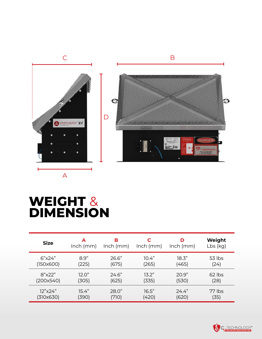

## **WEIGHT** & **DIMENSION**

| <b>Size</b> | А           | в           | C           | D           | Weight     |
|-------------|-------------|-------------|-------------|-------------|------------|
|             | $lnch$ (mm) | $lnch$ (mm) | $lnch$ (mm) | $lnch$ (mm) | $Lbs$ (kg) |
| 6''x24"     | 8.9"        | 26.6"       | 10.4"       | 18.3"       | $53$ lbs   |
| (150x600)   | (225)       | (675)       | (265)       | (465)       | (24)       |
| 8"x22"      | 12.0"       | 24.6"       | 13.2"       | 20.9"       | $62$ lbs   |
| (200x540)   | (305)       | (625)       | (335)       | (530)       | (28)       |
| 12"x24"     | 15.4"       | 28.0"       | 16.5"       | 24.4"       | 77 lbs     |
| (310x630)   | (390)       | (710)       | (420)       | (620)       | (35)       |